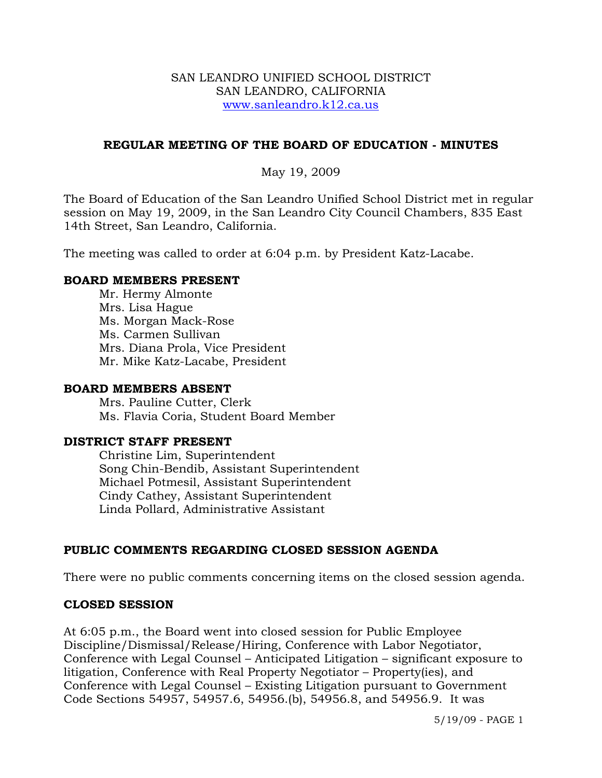#### SAN LEANDRO UNIFIED SCHOOL DISTRICT SAN LEANDRO, CALIFORNIA www.sanleandro.k12.ca.us

### **REGULAR MEETING OF THE BOARD OF EDUCATION - MINUTES**

#### May 19, 2009

The Board of Education of the San Leandro Unified School District met in regular session on May 19, 2009, in the San Leandro City Council Chambers, 835 East 14th Street, San Leandro, California.

The meeting was called to order at 6:04 p.m. by President Katz-Lacabe.

#### **BOARD MEMBERS PRESENT**

Mr. Hermy Almonte Mrs. Lisa Hague Ms. Morgan Mack-Rose Ms. Carmen Sullivan Mrs. Diana Prola, Vice President Mr. Mike Katz-Lacabe, President

#### **BOARD MEMBERS ABSENT**

Mrs. Pauline Cutter, Clerk Ms. Flavia Coria, Student Board Member

#### **DISTRICT STAFF PRESENT**

Christine Lim, Superintendent Song Chin-Bendib, Assistant Superintendent Michael Potmesil, Assistant Superintendent Cindy Cathey, Assistant Superintendent Linda Pollard, Administrative Assistant

# **PUBLIC COMMENTS REGARDING CLOSED SESSION AGENDA**

There were no public comments concerning items on the closed session agenda.

#### **CLOSED SESSION**

At 6:05 p.m., the Board went into closed session for Public Employee Discipline/Dismissal/Release/Hiring, Conference with Labor Negotiator, Conference with Legal Counsel – Anticipated Litigation – significant exposure to litigation, Conference with Real Property Negotiator – Property(ies), and Conference with Legal Counsel – Existing Litigation pursuant to Government Code Sections 54957, 54957.6, 54956.(b), 54956.8, and 54956.9. It was

5/19/09 - PAGE 1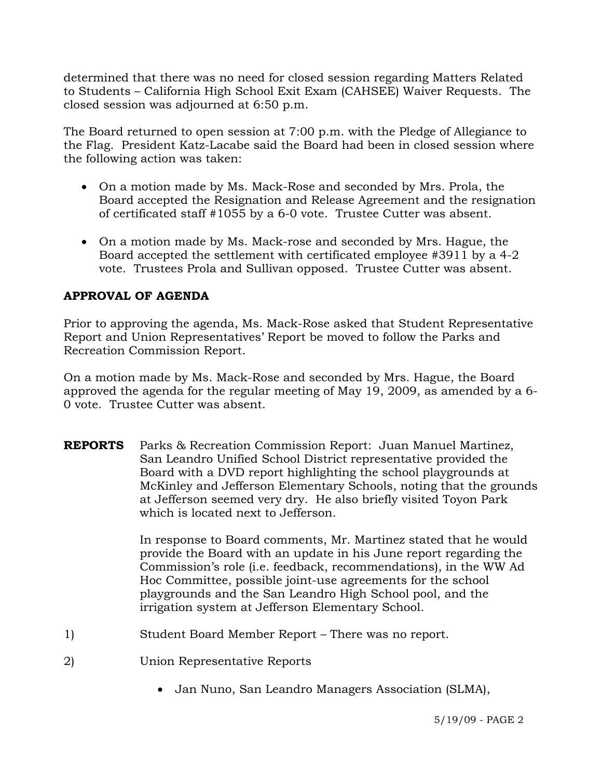determined that there was no need for closed session regarding Matters Related to Students – California High School Exit Exam (CAHSEE) Waiver Requests. The closed session was adjourned at 6:50 p.m.

The Board returned to open session at 7:00 p.m. with the Pledge of Allegiance to the Flag. President Katz-Lacabe said the Board had been in closed session where the following action was taken:

- On a motion made by Ms. Mack-Rose and seconded by Mrs. Prola, the Board accepted the Resignation and Release Agreement and the resignation of certificated staff #1055 by a 6-0 vote. Trustee Cutter was absent.
- On a motion made by Ms. Mack-rose and seconded by Mrs. Hague, the Board accepted the settlement with certificated employee #3911 by a 4-2 vote. Trustees Prola and Sullivan opposed. Trustee Cutter was absent.

# **APPROVAL OF AGENDA**

Prior to approving the agenda, Ms. Mack-Rose asked that Student Representative Report and Union Representatives' Report be moved to follow the Parks and Recreation Commission Report.

On a motion made by Ms. Mack-Rose and seconded by Mrs. Hague, the Board approved the agenda for the regular meeting of May 19, 2009, as amended by a 6- 0 vote. Trustee Cutter was absent.

**REPORTS** Parks & Recreation Commission Report: Juan Manuel Martinez, San Leandro Unified School District representative provided the Board with a DVD report highlighting the school playgrounds at McKinley and Jefferson Elementary Schools, noting that the grounds at Jefferson seemed very dry. He also briefly visited Toyon Park which is located next to Jefferson.

> In response to Board comments, Mr. Martinez stated that he would provide the Board with an update in his June report regarding the Commission's role (i.e. feedback, recommendations), in the WW Ad Hoc Committee, possible joint-use agreements for the school playgrounds and the San Leandro High School pool, and the irrigation system at Jefferson Elementary School.

- 1) Student Board Member Report There was no report.
- 2) Union Representative Reports
	- Jan Nuno, San Leandro Managers Association (SLMA),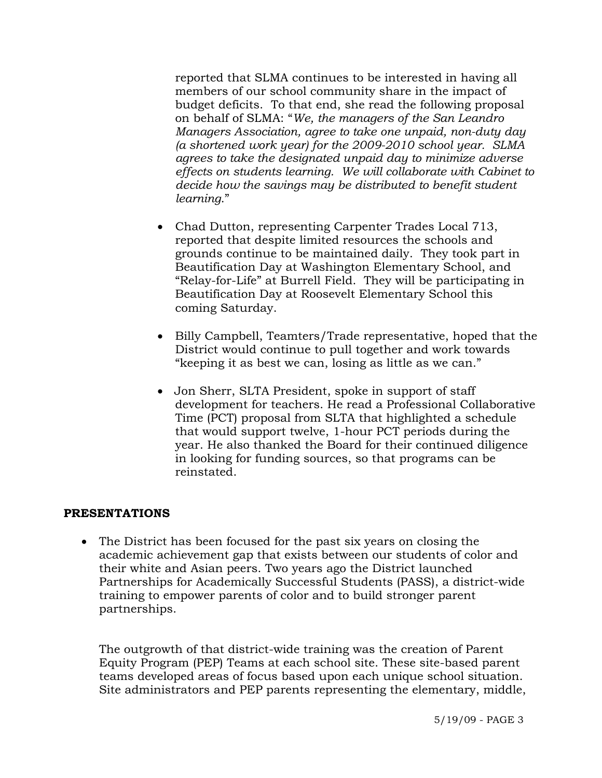reported that SLMA continues to be interested in having all members of our school community share in the impact of budget deficits. To that end, she read the following proposal on behalf of SLMA: "*We, the managers of the San Leandro Managers Association, agree to take one unpaid, non-duty day (a shortened work year) for the 2009-2010 school year. SLMA agrees to take the designated unpaid day to minimize adverse effects on students learning. We will collaborate with Cabinet to decide how the savings may be distributed to benefit student learning*."

- Chad Dutton, representing Carpenter Trades Local 713, reported that despite limited resources the schools and grounds continue to be maintained daily. They took part in Beautification Day at Washington Elementary School, and "Relay-for-Life" at Burrell Field. They will be participating in Beautification Day at Roosevelt Elementary School this coming Saturday.
- Billy Campbell, Teamters/Trade representative, hoped that the District would continue to pull together and work towards "keeping it as best we can, losing as little as we can."
- Jon Sherr, SLTA President, spoke in support of staff development for teachers. He read a Professional Collaborative Time (PCT) proposal from SLTA that highlighted a schedule that would support twelve, 1-hour PCT periods during the year. He also thanked the Board for their continued diligence in looking for funding sources, so that programs can be reinstated.

# **PRESENTATIONS**

• The District has been focused for the past six years on closing the academic achievement gap that exists between our students of color and their white and Asian peers. Two years ago the District launched Partnerships for Academically Successful Students (PASS), a district-wide training to empower parents of color and to build stronger parent partnerships.

 The outgrowth of that district-wide training was the creation of Parent Equity Program (PEP) Teams at each school site. These site-based parent teams developed areas of focus based upon each unique school situation. Site administrators and PEP parents representing the elementary, middle,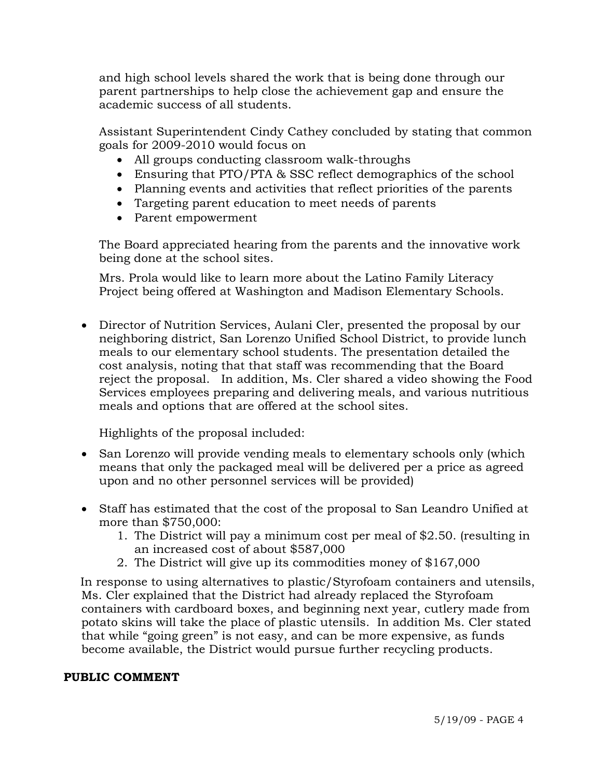and high school levels shared the work that is being done through our parent partnerships to help close the achievement gap and ensure the academic success of all students.

 Assistant Superintendent Cindy Cathey concluded by stating that common goals for 2009-2010 would focus on

- All groups conducting classroom walk-throughs
- Ensuring that PTO/PTA & SSC reflect demographics of the school
- Planning events and activities that reflect priorities of the parents
- Targeting parent education to meet needs of parents
- Parent empowerment

 The Board appreciated hearing from the parents and the innovative work being done at the school sites.

 Mrs. Prola would like to learn more about the Latino Family Literacy Project being offered at Washington and Madison Elementary Schools.

• Director of Nutrition Services, Aulani Cler, presented the proposal by our neighboring district, San Lorenzo Unified School District, to provide lunch meals to our elementary school students. The presentation detailed the cost analysis, noting that that staff was recommending that the Board reject the proposal. In addition, Ms. Cler shared a video showing the Food Services employees preparing and delivering meals, and various nutritious meals and options that are offered at the school sites.

Highlights of the proposal included:

- San Lorenzo will provide vending meals to elementary schools only (which means that only the packaged meal will be delivered per a price as agreed upon and no other personnel services will be provided)
- Staff has estimated that the cost of the proposal to San Leandro Unified at more than \$750,000:
	- 1. The District will pay a minimum cost per meal of \$2.50. (resulting in an increased cost of about \$587,000
	- 2. The District will give up its commodities money of \$167,000

 In response to using alternatives to plastic/Styrofoam containers and utensils, Ms. Cler explained that the District had already replaced the Styrofoam containers with cardboard boxes, and beginning next year, cutlery made from potato skins will take the place of plastic utensils. In addition Ms. Cler stated that while "going green" is not easy, and can be more expensive, as funds become available, the District would pursue further recycling products.

# **PUBLIC COMMENT**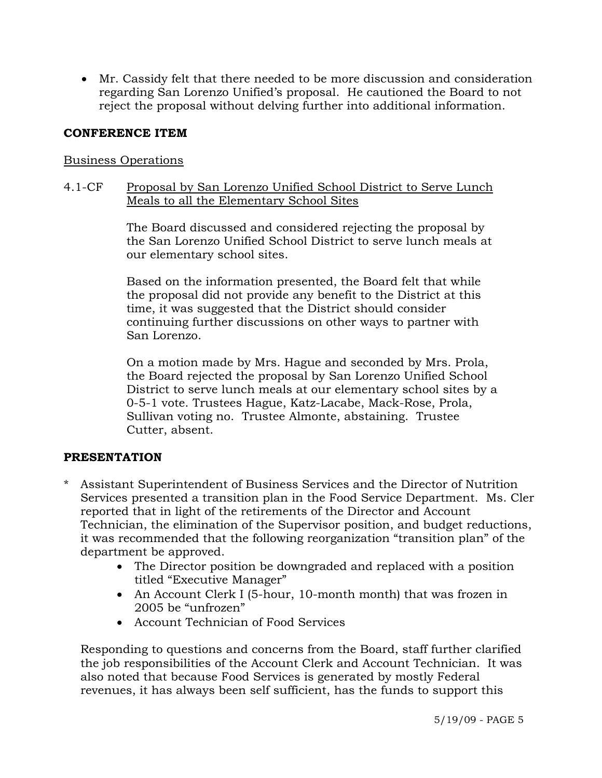• Mr. Cassidy felt that there needed to be more discussion and consideration regarding San Lorenzo Unified's proposal. He cautioned the Board to not reject the proposal without delving further into additional information.

#### **CONFERENCE ITEM**

#### Business Operations

# 4.1-CF Proposal by San Lorenzo Unified School District to Serve Lunch Meals to all the Elementary School Sites

The Board discussed and considered rejecting the proposal by the San Lorenzo Unified School District to serve lunch meals at our elementary school sites.

Based on the information presented, the Board felt that while the proposal did not provide any benefit to the District at this time, it was suggested that the District should consider continuing further discussions on other ways to partner with San Lorenzo.

On a motion made by Mrs. Hague and seconded by Mrs. Prola, the Board rejected the proposal by San Lorenzo Unified School District to serve lunch meals at our elementary school sites by a 0-5-1 vote. Trustees Hague, Katz-Lacabe, Mack-Rose, Prola, Sullivan voting no. Trustee Almonte, abstaining. Trustee Cutter, absent.

# **PRESENTATION**

- Assistant Superintendent of Business Services and the Director of Nutrition Services presented a transition plan in the Food Service Department. Ms. Cler reported that in light of the retirements of the Director and Account Technician, the elimination of the Supervisor position, and budget reductions, it was recommended that the following reorganization "transition plan" of the department be approved.
	- The Director position be downgraded and replaced with a position titled "Executive Manager"
	- An Account Clerk I (5-hour, 10-month month) that was frozen in 2005 be "unfrozen"
	- Account Technician of Food Services

 Responding to questions and concerns from the Board, staff further clarified the job responsibilities of the Account Clerk and Account Technician. It was also noted that because Food Services is generated by mostly Federal revenues, it has always been self sufficient, has the funds to support this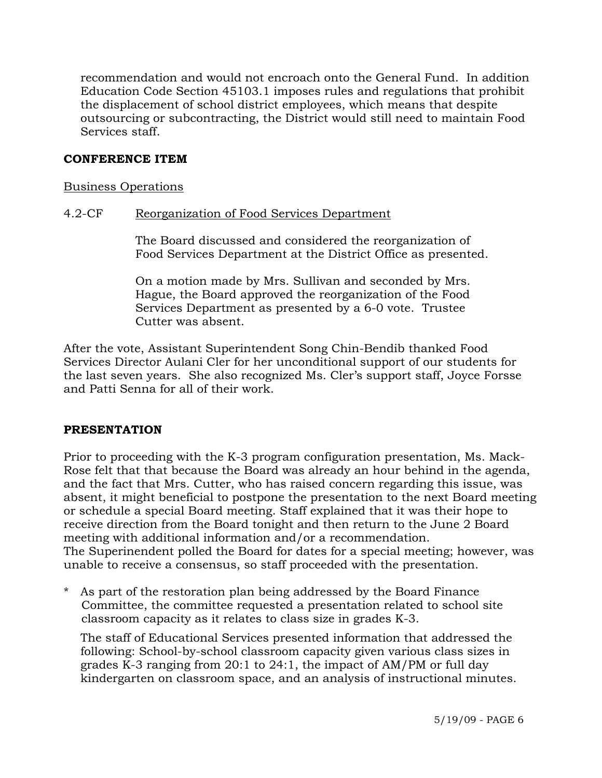recommendation and would not encroach onto the General Fund. In addition Education Code Section 45103.1 imposes rules and regulations that prohibit the displacement of school district employees, which means that despite outsourcing or subcontracting, the District would still need to maintain Food Services staff.

# **CONFERENCE ITEM**

### Business Operations

#### 4.2-CF Reorganization of Food Services Department

The Board discussed and considered the reorganization of Food Services Department at the District Office as presented.

On a motion made by Mrs. Sullivan and seconded by Mrs. Hague, the Board approved the reorganization of the Food Services Department as presented by a 6-0 vote. Trustee Cutter was absent.

After the vote, Assistant Superintendent Song Chin-Bendib thanked Food Services Director Aulani Cler for her unconditional support of our students for the last seven years. She also recognized Ms. Cler's support staff, Joyce Forsse and Patti Senna for all of their work.

#### **PRESENTATION**

Prior to proceeding with the K-3 program configuration presentation, Ms. Mack-Rose felt that that because the Board was already an hour behind in the agenda, and the fact that Mrs. Cutter, who has raised concern regarding this issue, was absent, it might beneficial to postpone the presentation to the next Board meeting or schedule a special Board meeting. Staff explained that it was their hope to receive direction from the Board tonight and then return to the June 2 Board meeting with additional information and/or a recommendation. The Superinendent polled the Board for dates for a special meeting; however, was unable to receive a consensus, so staff proceeded with the presentation.

As part of the restoration plan being addressed by the Board Finance Committee, the committee requested a presentation related to school site classroom capacity as it relates to class size in grades K-3.

 The staff of Educational Services presented information that addressed the following: School-by-school classroom capacity given various class sizes in grades K-3 ranging from 20:1 to 24:1, the impact of AM/PM or full day kindergarten on classroom space, and an analysis of instructional minutes.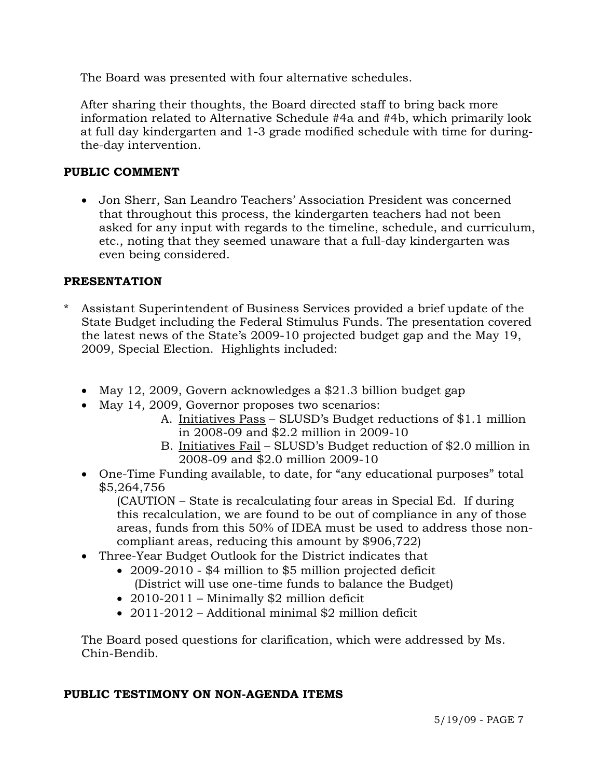The Board was presented with four alternative schedules.

 After sharing their thoughts, the Board directed staff to bring back more information related to Alternative Schedule #4a and #4b, which primarily look at full day kindergarten and 1-3 grade modified schedule with time for during the-day intervention.

# **PUBLIC COMMENT**

• Jon Sherr, San Leandro Teachers' Association President was concerned that throughout this process, the kindergarten teachers had not been asked for any input with regards to the timeline, schedule, and curriculum, etc., noting that they seemed unaware that a full-day kindergarten was even being considered.

# **PRESENTATION**

- Assistant Superintendent of Business Services provided a brief update of the State Budget including the Federal Stimulus Funds. The presentation covered the latest news of the State's 2009-10 projected budget gap and the May 19, 2009, Special Election. Highlights included:
	- May 12, 2009, Govern acknowledges a \$21.3 billion budget gap
	- May 14, 2009, Governor proposes two scenarios:
		- A. Initiatives Pass SLUSD's Budget reductions of \$1.1 million in 2008-09 and \$2.2 million in 2009-10
		- B. Initiatives Fail SLUSD's Budget reduction of \$2.0 million in 2008-09 and \$2.0 million 2009-10
	- One-Time Funding available, to date, for "any educational purposes" total \$5,264,756

 (CAUTION – State is recalculating four areas in Special Ed. If during this recalculation, we are found to be out of compliance in any of those areas, funds from this 50% of IDEA must be used to address those non compliant areas, reducing this amount by \$906,722)

- Three-Year Budget Outlook for the District indicates that
	- 2009-2010 \$4 million to \$5 million projected deficit (District will use one-time funds to balance the Budget)
	- 2010-2011 Minimally \$2 million deficit
	- 2011-2012 Additional minimal \$2 million deficit

 The Board posed questions for clarification, which were addressed by Ms. Chin-Bendib.

# **PUBLIC TESTIMONY ON NON-AGENDA ITEMS**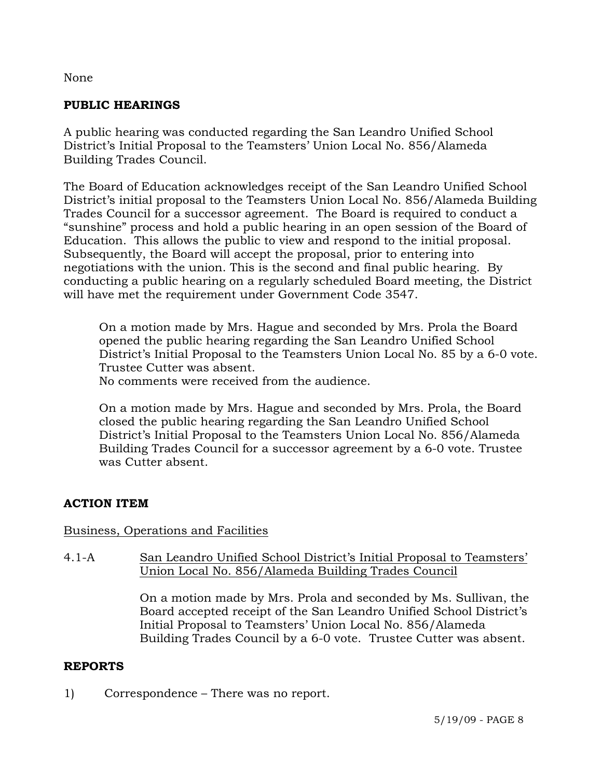### None

# **PUBLIC HEARINGS**

A public hearing was conducted regarding the San Leandro Unified School District's Initial Proposal to the Teamsters' Union Local No. 856/Alameda Building Trades Council.

The Board of Education acknowledges receipt of the San Leandro Unified School District's initial proposal to the Teamsters Union Local No. 856/Alameda Building Trades Council for a successor agreement. The Board is required to conduct a "sunshine" process and hold a public hearing in an open session of the Board of Education. This allows the public to view and respond to the initial proposal. Subsequently, the Board will accept the proposal, prior to entering into negotiations with the union. This is the second and final public hearing. By conducting a public hearing on a regularly scheduled Board meeting, the District will have met the requirement under Government Code 3547.

On a motion made by Mrs. Hague and seconded by Mrs. Prola the Board opened the public hearing regarding the San Leandro Unified School District's Initial Proposal to the Teamsters Union Local No. 85 by a 6-0 vote. Trustee Cutter was absent.

No comments were received from the audience.

On a motion made by Mrs. Hague and seconded by Mrs. Prola, the Board closed the public hearing regarding the San Leandro Unified School District's Initial Proposal to the Teamsters Union Local No. 856/Alameda Building Trades Council for a successor agreement by a 6-0 vote. Trustee was Cutter absent.

# **ACTION ITEM**

# Business, Operations and Facilities

4.1-A San Leandro Unified School District's Initial Proposal to Teamsters' Union Local No. 856/Alameda Building Trades Council

> On a motion made by Mrs. Prola and seconded by Ms. Sullivan, the Board accepted receipt of the San Leandro Unified School District's Initial Proposal to Teamsters' Union Local No. 856/Alameda Building Trades Council by a 6-0 vote. Trustee Cutter was absent.

#### **REPORTS**

1) Correspondence – There was no report.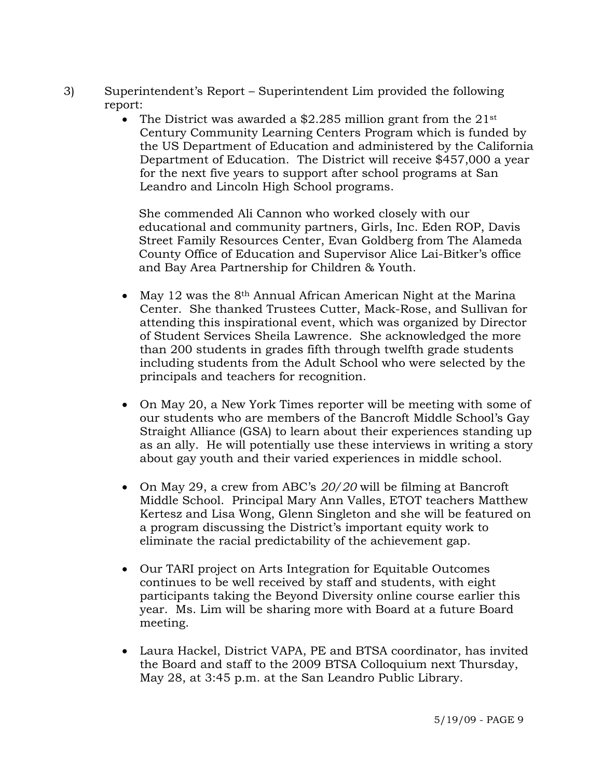- 3) Superintendent's Report Superintendent Lim provided the following report:
	- The District was awarded a \$2.285 million grant from the  $21^{st}$ Century Community Learning Centers Program which is funded by the US Department of Education and administered by the California Department of Education. The District will receive \$457,000 a year for the next five years to support after school programs at San Leandro and Lincoln High School programs.

 She commended Ali Cannon who worked closely with our educational and community partners, Girls, Inc. Eden ROP, Davis Street Family Resources Center, Evan Goldberg from The Alameda County Office of Education and Supervisor Alice Lai-Bitker's office and Bay Area Partnership for Children & Youth.

- May 12 was the 8<sup>th</sup> Annual African American Night at the Marina Center. She thanked Trustees Cutter, Mack-Rose, and Sullivan for attending this inspirational event, which was organized by Director of Student Services Sheila Lawrence. She acknowledged the more than 200 students in grades fifth through twelfth grade students including students from the Adult School who were selected by the principals and teachers for recognition.
- On May 20, a New York Times reporter will be meeting with some of our students who are members of the Bancroft Middle School's Gay Straight Alliance (GSA) to learn about their experiences standing up as an ally. He will potentially use these interviews in writing a story about gay youth and their varied experiences in middle school.
- On May 29, a crew from ABC's *20/20* will be filming at Bancroft Middle School. Principal Mary Ann Valles, ETOT teachers Matthew Kertesz and Lisa Wong, Glenn Singleton and she will be featured on a program discussing the District's important equity work to eliminate the racial predictability of the achievement gap.
- Our TARI project on Arts Integration for Equitable Outcomes continues to be well received by staff and students, with eight participants taking the Beyond Diversity online course earlier this year. Ms. Lim will be sharing more with Board at a future Board meeting.
- Laura Hackel, District VAPA, PE and BTSA coordinator, has invited the Board and staff to the 2009 BTSA Colloquium next Thursday, May 28, at 3:45 p.m. at the San Leandro Public Library.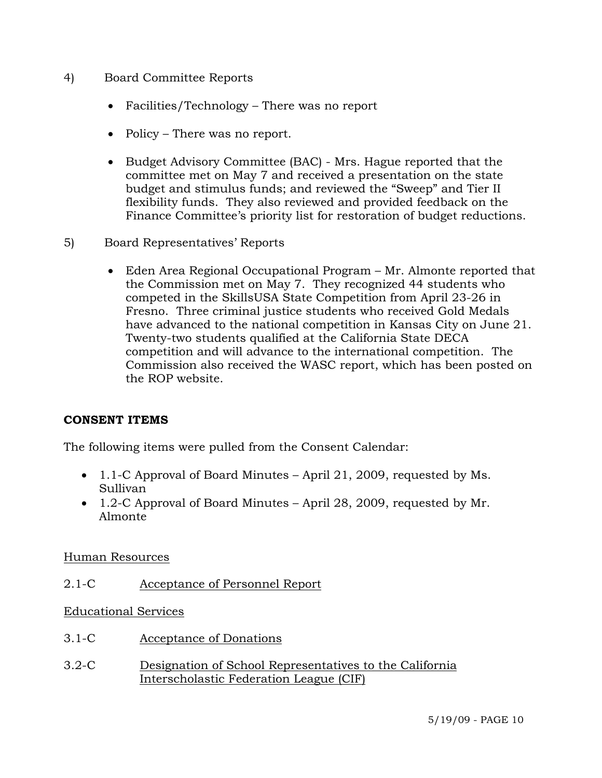- 4) Board Committee Reports
	- Facilities/Technology There was no report
	- Policy There was no report.
	- Budget Advisory Committee (BAC) Mrs. Hague reported that the committee met on May 7 and received a presentation on the state budget and stimulus funds; and reviewed the "Sweep" and Tier II flexibility funds. They also reviewed and provided feedback on the Finance Committee's priority list for restoration of budget reductions.
- 5) Board Representatives' Reports
	- Eden Area Regional Occupational Program Mr. Almonte reported that the Commission met on May 7. They recognized 44 students who competed in the SkillsUSA State Competition from April 23-26 in Fresno. Three criminal justice students who received Gold Medals have advanced to the national competition in Kansas City on June 21. Twenty-two students qualified at the California State DECA competition and will advance to the international competition. The Commission also received the WASC report, which has been posted on the ROP website.

# **CONSENT ITEMS**

The following items were pulled from the Consent Calendar:

- 1.1-C Approval of Board Minutes April 21, 2009, requested by Ms. Sullivan
- 1.2-C Approval of Board Minutes April 28, 2009, requested by Mr. Almonte

# Human Resources

2.1-C Acceptance of Personnel Report

# Educational Services

- 3.1-C Acceptance of Donations
- 3.2-C Designation of School Representatives to the California Interscholastic Federation League (CIF)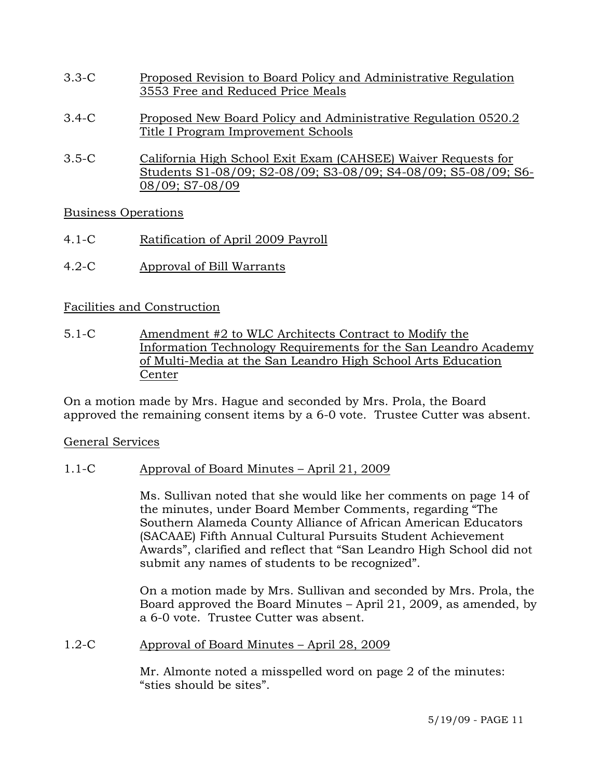- 3.3-C Proposed Revision to Board Policy and Administrative Regulation 3553 Free and Reduced Price Meals
- 3.4-C Proposed New Board Policy and Administrative Regulation 0520.2 Title I Program Improvement Schools
- 3.5-C California High School Exit Exam (CAHSEE) Waiver Requests for Students S1-08/09; S2-08/09; S3-08/09; S4-08/09; S5-08/09; S6- 08/09; S7-08/09

Business Operations

- 4.1-C Ratification of April 2009 Payroll
- 4.2-C Approval of Bill Warrants

# Facilities and Construction

5.1-C Amendment #2 to WLC Architects Contract to Modify the Information Technology Requirements for the San Leandro Academy of Multi-Media at the San Leandro High School Arts Education Center

On a motion made by Mrs. Hague and seconded by Mrs. Prola, the Board approved the remaining consent items by a 6-0 vote. Trustee Cutter was absent.

# General Services

1.1-C Approval of Board Minutes – April 21, 2009

Ms. Sullivan noted that she would like her comments on page 14 of the minutes, under Board Member Comments, regarding "The Southern Alameda County Alliance of African American Educators (SACAAE) Fifth Annual Cultural Pursuits Student Achievement Awards", clarified and reflect that "San Leandro High School did not submit any names of students to be recognized".

On a motion made by Mrs. Sullivan and seconded by Mrs. Prola, the Board approved the Board Minutes – April 21, 2009, as amended, by a 6-0 vote. Trustee Cutter was absent.

1.2-C Approval of Board Minutes – April 28, 2009

Mr. Almonte noted a misspelled word on page 2 of the minutes: "sties should be sites".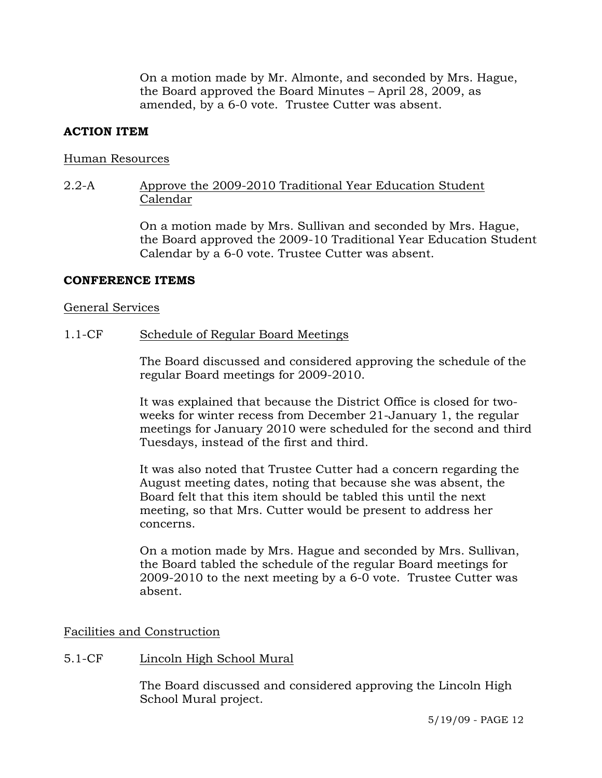On a motion made by Mr. Almonte, and seconded by Mrs. Hague, the Board approved the Board Minutes – April 28, 2009, as amended, by a 6-0 vote. Trustee Cutter was absent.

#### **ACTION ITEM**

#### Human Resources

#### 2.2-A Approve the 2009-2010 Traditional Year Education Student Calendar

On a motion made by Mrs. Sullivan and seconded by Mrs. Hague, the Board approved the 2009-10 Traditional Year Education Student Calendar by a 6-0 vote. Trustee Cutter was absent.

#### **CONFERENCE ITEMS**

#### General Services

#### 1.1-CF Schedule of Regular Board Meetings

The Board discussed and considered approving the schedule of the regular Board meetings for 2009-2010.

It was explained that because the District Office is closed for twoweeks for winter recess from December 21-January 1, the regular meetings for January 2010 were scheduled for the second and third Tuesdays, instead of the first and third.

It was also noted that Trustee Cutter had a concern regarding the August meeting dates, noting that because she was absent, the Board felt that this item should be tabled this until the next meeting, so that Mrs. Cutter would be present to address her concerns.

On a motion made by Mrs. Hague and seconded by Mrs. Sullivan, the Board tabled the schedule of the regular Board meetings for 2009-2010 to the next meeting by a 6-0 vote. Trustee Cutter was absent.

#### Facilities and Construction

# 5.1-CF Lincoln High School Mural

The Board discussed and considered approving the Lincoln High School Mural project.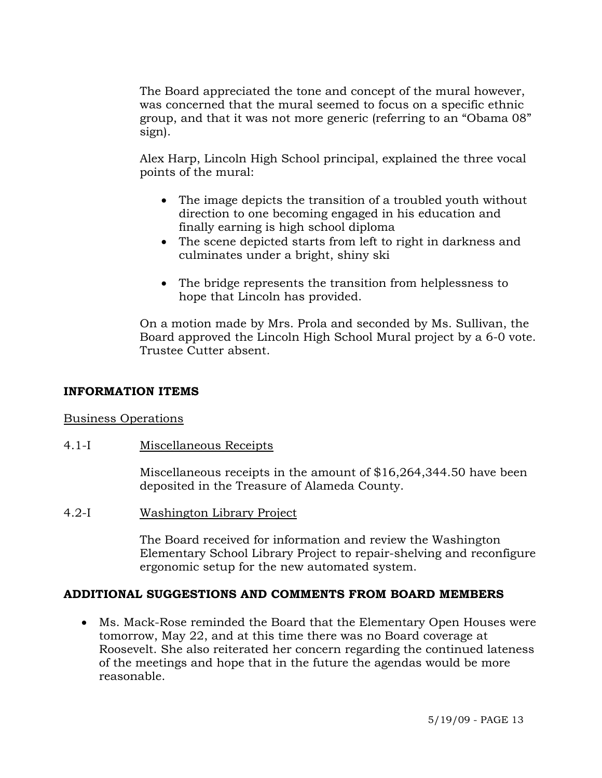The Board appreciated the tone and concept of the mural however, was concerned that the mural seemed to focus on a specific ethnic group, and that it was not more generic (referring to an "Obama 08" sign).

Alex Harp, Lincoln High School principal, explained the three vocal points of the mural:

- The image depicts the transition of a troubled youth without direction to one becoming engaged in his education and finally earning is high school diploma
- The scene depicted starts from left to right in darkness and culminates under a bright, shiny ski
- The bridge represents the transition from helplessness to hope that Lincoln has provided.

On a motion made by Mrs. Prola and seconded by Ms. Sullivan, the Board approved the Lincoln High School Mural project by a 6-0 vote. Trustee Cutter absent.

# **INFORMATION ITEMS**

# Business Operations

4.1-I Miscellaneous Receipts

Miscellaneous receipts in the amount of \$16,264,344.50 have been deposited in the Treasure of Alameda County.

4.2-I Washington Library Project

The Board received for information and review the Washington Elementary School Library Project to repair-shelving and reconfigure ergonomic setup for the new automated system.

# **ADDITIONAL SUGGESTIONS AND COMMENTS FROM BOARD MEMBERS**

• Ms. Mack-Rose reminded the Board that the Elementary Open Houses were tomorrow, May 22, and at this time there was no Board coverage at Roosevelt. She also reiterated her concern regarding the continued lateness of the meetings and hope that in the future the agendas would be more reasonable.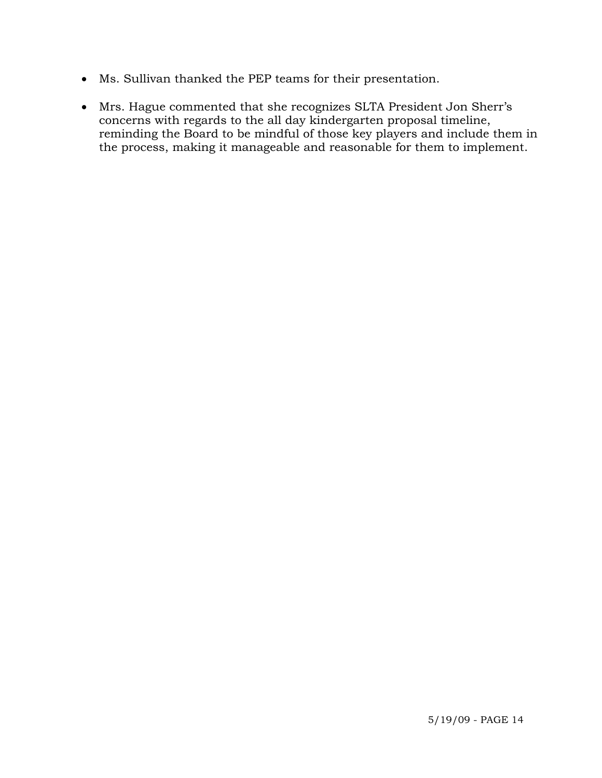- Ms. Sullivan thanked the PEP teams for their presentation.
- Mrs. Hague commented that she recognizes SLTA President Jon Sherr's concerns with regards to the all day kindergarten proposal timeline, reminding the Board to be mindful of those key players and include them in the process, making it manageable and reasonable for them to implement.